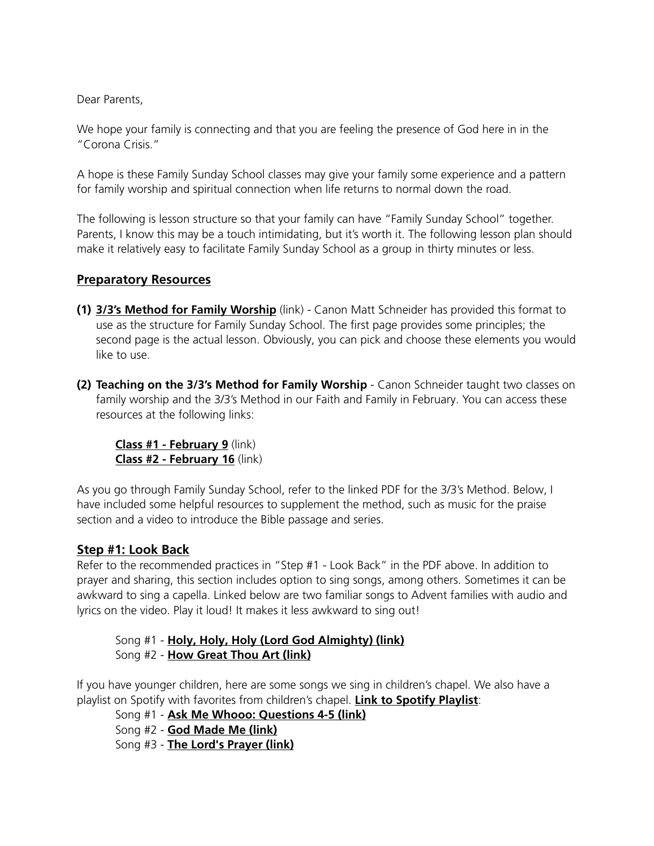Dear Parents,

We hope your family is connecting and that you are feeling the presence of God here in in the "Corona Crisis."

A hope is these Family Sunday School classes may give your family some experience and a pattern for family worship and spiritual connection when life returns to normal down the road.

The following is lesson structure so that your family can have "Family Sunday School" together. Parents, I know this may be a touch intimidating, but it's worth it. The following lesson plan should make it relatively easy to facilitate Family Sunday School as a group in thirty minutes or less.

## **Preparatory Resources**

- **(1) [3/3's Method for Family Worship](https://adventbir.wpengine.com/wp-content/uploads/2020/03/3_3s-Handout-8.5-x-11.pdf)** (link) Canon Matt Schneider has provided this format to use as the structure for Family Sunday School. The first page provides some principles; the second page is the actual lesson. Obviously, you can pick and choose these elements you would like to use.
- **(2) Teaching on the 3/3's Method for Family Worship** Canon Schneider taught two classes on family worship and the 3/3's Method in our Faith and Family in February. You can access these resources at the following links:

**[Class #1 - February 9](https://soundcloud.com/cathedraladvent/faith-and-family-threethirds)** (link) **[Class #2 - February 16](https://soundcloud.com/cathedraladvent/faith-and-family-threethirds-format-for-family-worship-part-2-of-2)** (link)

As you go through Family Sunday School, refer to the linked PDF for the 3/3's Method. Below, I have included some helpful resources to supplement the method, such as music for the praise section and a video to introduce the Bible passage and series.

## **Step #1: Look Back**

Refer to the recommended practices in "Step #1 - Look Back" in the PDF above. In addition to prayer and sharing, this section includes option to sing songs, among others. Sometimes it can be awkward to sing a capella. Linked below are two familiar songs to Advent families with audio and lyrics on the video. Play it loud! It makes it less awkward to sing out!

 Song #1 - **[Holy, Holy, Holy \(Lord God Almighty\) \(link\)](https://www.youtube.com/watch?v=fH6tbslLEaE)** Song #2 - **[How Great Thou Art \(link\)](https://www.youtube.com/watch?v=W5-8-cjAuTQ)**

If you have younger children, here are some songs we sing in children's chapel. We also have a playlist on Spotify with favorites from children's chapel. **[Link to Spotify Playlist](https://open.spotify.com/playlist/04NcPlXz8eAfJENb53HJIt?si=aZg84LfnTWC4CzMvJBlaKQ)**:

Song #1 - **[Ask Me Whooo: Questions 4-5 \(link\)](https://www.youtube.com/watch?v=QXBLROvk9d0&list=PLWIbkwZEDtm0gMoOtj92KNfzvi5XBTxd-)**

Song #2 - **[God Made Me \(link\)](https://www.youtube.com/watch?v=vxtHWhFuyws)**

Song #3 - **[The Lord's Prayer \(link\)](https://www.youtube.com/watch?v=xHaFYEOaRFY)**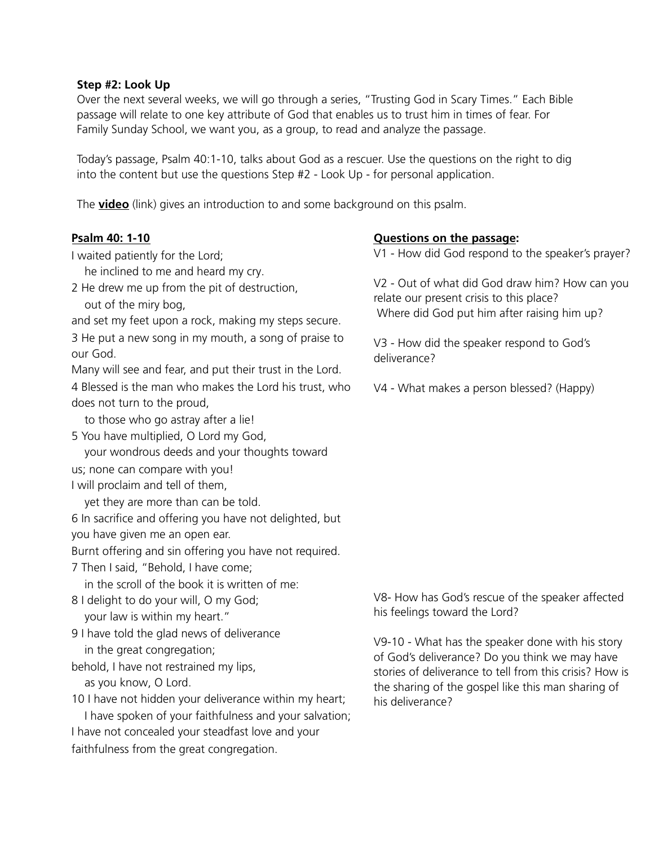#### **Step #2: Look Up**

Over the next several weeks, we will go through a series, "Trusting God in Scary Times." Each Bible passage will relate to one key attribute of God that enables us to trust him in times of fear. For Family Sunday School, we want you, as a group, to read and analyze the passage.

Today's passage, Psalm 40:1-10, talks about God as a rescuer. Use the questions on the right to dig into the content but use the questions Step #2 - Look Up - for personal application.

The **[video](https://vimeo.com/403162514)** (link) gives an introduction to and some background on this psalm.

### **Psalm 40: 1-10**

I waited patiently for the Lord;

he inclined to me and heard my cry.

2 He drew me up from the pit of destruction, out of the miry bog,

and set my feet upon a rock, making my steps secure.

3 He put a new song in my mouth, a song of praise to our God.

Many will see and fear, and put their trust in the Lord.

4 Blessed is the man who makes the Lord his trust, who does not turn to the proud,

to those who go astray after a lie!

5 You have multiplied, O Lord my God,

your wondrous deeds and your thoughts toward

us; none can compare with you!

I will proclaim and tell of them,

yet they are more than can be told.

6 In sacrifice and offering you have not delighted, but

you have given me an open ear.

Burnt offering and sin offering you have not required.

7 Then I said, "Behold, I have come;

in the scroll of the book it is written of me:

8 I delight to do your will, O my God; your law is within my heart."

9 I have told the glad news of deliverance in the great congregation;

behold, I have not restrained my lips, as you know, O Lord.

10 I have not hidden your deliverance within my heart;

 I have spoken of your faithfulness and your salvation; I have not concealed your steadfast love and your faithfulness from the great congregation.

## **Questions on the passage:**

V1 - How did God respond to the speaker's prayer?

V2 - Out of what did God draw him? How can you relate our present crisis to this place? Where did God put him after raising him up?

V3 - How did the speaker respond to God's deliverance?

V4 - What makes a person blessed? (Happy)

V8- How has God's rescue of the speaker affected his feelings toward the Lord?

V9-10 - What has the speaker done with his story of God's deliverance? Do you think we may have stories of deliverance to tell from this crisis? How is the sharing of the gospel like this man sharing of his deliverance?